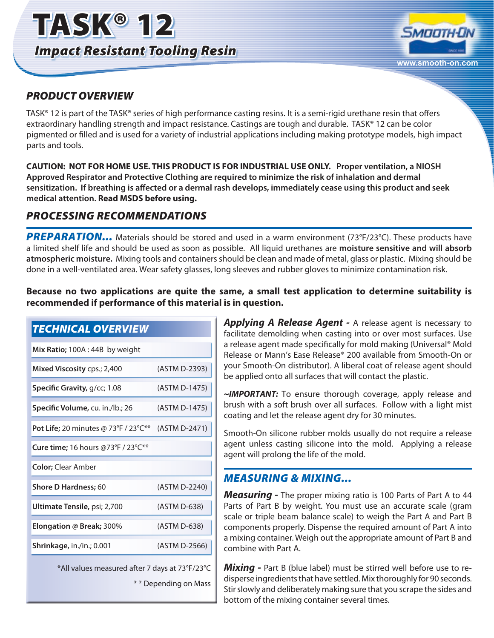



#### *PRODUCT OVERVIEW*

TASK® 12 is part of the TASK® series of high performance casting resins. It is a semi-rigid urethane resin that offers extraordinary handling strength and impact resistance. Castings are tough and durable. TASK® 12 can be color pigmented or filled and is used for a variety of industrial applications including making prototype models, high impact parts and tools.

**CAUTION: NOT FOR HOME USE. THIS PRODUCT IS FOR INDUSTRIAL USE ONLY. Proper ventilation, a NIOSH Approved Respirator and Protective Clothing are required to minimize the risk of inhalation and dermal sensitization. If breathing is affected or a dermal rash develops, immediately cease using this product and seek medical attention. Read MSDS before using.**

# *PROCESSING RECOMMENDATIONS*

**PREPARATION...** Materials should be stored and used in a warm environment (73°F/23°C). These products have a limited shelf life and should be used as soon as possible. All liquid urethanes are **moisture sensitive and will absorb atmospheric moisture.** Mixing tools and containers should be clean and made of metal, glass or plastic. Mixing should be done in a well-ventilated area. Wear safety glasses, long sleeves and rubber gloves to minimize contamination risk.

**Because no two applications are quite the same, a small test application to determine suitability is recommended if performance of this material is in question.**

| (ASTM D-2393) |
|---------------|
| (ASTM D-1475) |
| (ASTM D-1475) |
| (ASTM D-2471) |
|               |
|               |
| (ASTM D-2240) |
| (ASTM D-638)  |
| (ASTM D-638)  |
| (ASTM D-2566) |
|               |

\*All values measured after 7 days at 73°F/23°C

\* \* Depending on Mass

*Applying A Release Agent -* A release agent is necessary to facilitate demolding when casting into or over most surfaces. Use a release agent made specifically for mold making (Universal® Mold Release or Mann's Ease Release® 200 available from Smooth-On or your Smooth-On distributor). A liberal coat of release agent should be applied onto all surfaces that will contact the plastic.

*~IMPORTANT:* To ensure thorough coverage, apply release and brush with a soft brush over all surfaces. Follow with a light mist coating and let the release agent dry for 30 minutes.

Smooth-On silicone rubber molds usually do not require a release agent unless casting silicone into the mold. Applying a release agent will prolong the life of the mold.

#### *MEASURING & MIXING...*

*Measuring -* The proper mixing ratio is 100 Parts of Part A to 44 Parts of Part B by weight. You must use an accurate scale (gram scale or triple beam balance scale) to weigh the Part A and Part B components properly. Dispense the required amount of Part A into a mixing container. Weigh out the appropriate amount of Part B and combine with Part A.

*Mixing -* Part B (blue label) must be stirred well before use to redisperse ingredients that have settled. Mix thoroughly for 90 seconds. Stir slowly and deliberately making sure that you scrape the sides and bottom of the mixing container several times.